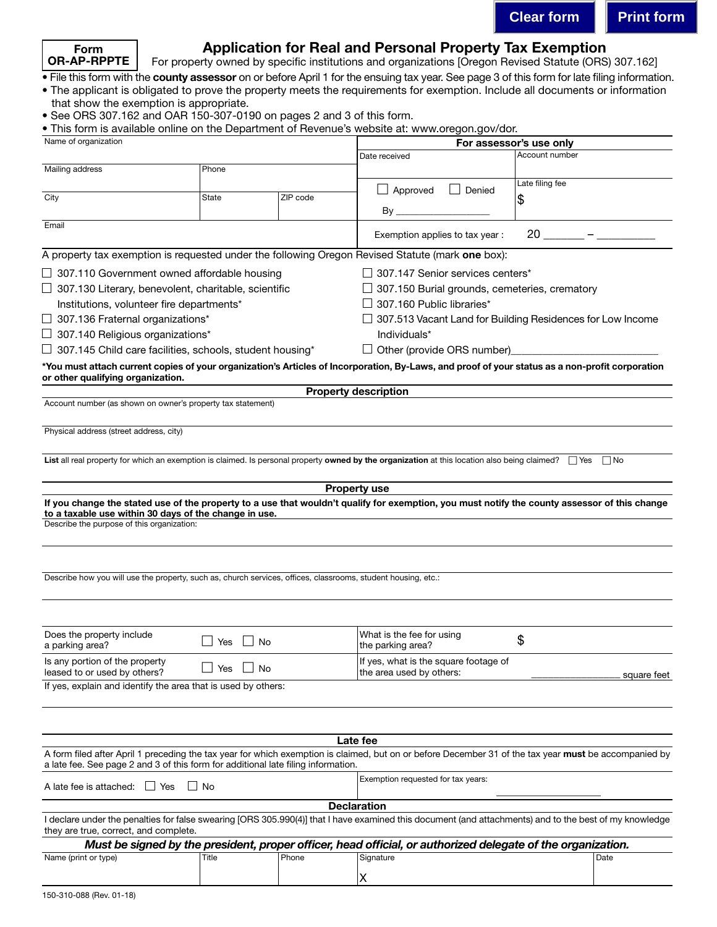

# Application for Real and Personal Property Tax Exemption

For property owned by specific institutions and organizations [Oregon Revised Statute (ORS) 307.162]

• File this form with the county assessor on or before April 1 for the ensuing tax year. See page 3 of this form for late filing information.

- The applicant is obligated to prove the property meets the requirements for exemption. Include all documents or information that show the exemption is appropriate.
- See ORS 307.162 and OAR 150-307-0190 on pages 2 and 3 of this form.
- This form is available online on the Department of Revenue's website at: www.oregon.gov/dor.

| Name of organization                                                                                                                                                                 |           |          | For assessor's use only                                           |                 |             |
|--------------------------------------------------------------------------------------------------------------------------------------------------------------------------------------|-----------|----------|-------------------------------------------------------------------|-----------------|-------------|
|                                                                                                                                                                                      |           |          | Date received                                                     | Account number  |             |
| Mailing address                                                                                                                                                                      | Phone     |          |                                                                   |                 |             |
|                                                                                                                                                                                      |           |          | $\Box$ Approved<br>Denied                                         | Late filing fee |             |
| City                                                                                                                                                                                 | State     | ZIP code |                                                                   | \$              |             |
|                                                                                                                                                                                      |           |          | $By$ __                                                           |                 |             |
| Email                                                                                                                                                                                |           |          | $20 -$<br>Exemption applies to tax year:                          |                 |             |
| A property tax exemption is requested under the following Oregon Revised Statute (mark one box):                                                                                     |           |          |                                                                   |                 |             |
| $\Box$ 307.110 Government owned affordable housing                                                                                                                                   |           |          | $\Box$ 307.147 Senior services centers*                           |                 |             |
| $\Box$ 307.130 Literary, benevolent, charitable, scientific                                                                                                                          |           |          | $\Box$ 307.150 Burial grounds, cemeteries, crematory              |                 |             |
| Institutions, volunteer fire departments*                                                                                                                                            |           |          | $\Box$ 307.160 Public libraries*                                  |                 |             |
| $\Box$ 307.136 Fraternal organizations*                                                                                                                                              |           |          | $\Box$ 307.513 Vacant Land for Building Residences for Low Income |                 |             |
| $\Box$ 307.140 Religious organizations*                                                                                                                                              |           |          | Individuals*                                                      |                 |             |
| 307.145 Child care facilities, schools, student housing*                                                                                                                             |           |          |                                                                   |                 |             |
|                                                                                                                                                                                      |           |          | $\Box$ Other (provide ORS number)                                 |                 |             |
| *You must attach current copies of your organization's Articles of Incorporation, By-Laws, and proof of your status as a non-profit corporation<br>or other qualifying organization. |           |          |                                                                   |                 |             |
| Account number (as shown on owner's property tax statement)                                                                                                                          |           |          | <b>Property description</b>                                       |                 |             |
|                                                                                                                                                                                      |           |          |                                                                   |                 |             |
| Physical address (street address, city)                                                                                                                                              |           |          |                                                                   |                 |             |
|                                                                                                                                                                                      |           |          |                                                                   |                 |             |
| List all real property for which an exemption is claimed. Is personal property owned by the organization at this location also being claimed? $\Box$ Yes                             |           |          |                                                                   |                 | $\Box$ No   |
|                                                                                                                                                                                      |           |          |                                                                   |                 |             |
|                                                                                                                                                                                      |           |          | <b>Property use</b>                                               |                 |             |
| If you change the stated use of the property to a use that wouldn't qualify for exemption, you must notify the county assessor of this change                                        |           |          |                                                                   |                 |             |
| to a taxable use within 30 days of the change in use.                                                                                                                                |           |          |                                                                   |                 |             |
| Describe the purpose of this organization:                                                                                                                                           |           |          |                                                                   |                 |             |
|                                                                                                                                                                                      |           |          |                                                                   |                 |             |
|                                                                                                                                                                                      |           |          |                                                                   |                 |             |
| Describe how you will use the property, such as, church services, offices, classrooms, student housing, etc.:                                                                        |           |          |                                                                   |                 |             |
|                                                                                                                                                                                      |           |          |                                                                   |                 |             |
|                                                                                                                                                                                      |           |          |                                                                   |                 |             |
|                                                                                                                                                                                      |           |          |                                                                   |                 |             |
| Does the property include                                                                                                                                                            | Yes<br>No |          | What is the fee for using                                         | \$              |             |
| a parking area?                                                                                                                                                                      |           |          | the parking area?                                                 |                 |             |
| Is any portion of the property<br>leased to or used by others?                                                                                                                       | No<br>Yes |          | If yes, what is the square footage of                             |                 |             |
| If yes, explain and identify the area that is used by others:                                                                                                                        |           |          | the area used by others:                                          |                 | square feet |
|                                                                                                                                                                                      |           |          |                                                                   |                 |             |
|                                                                                                                                                                                      |           |          |                                                                   |                 |             |
|                                                                                                                                                                                      |           |          |                                                                   |                 |             |
|                                                                                                                                                                                      |           |          | Late fee                                                          |                 |             |
| A form filed after April 1 preceding the tax year for which exemption is claimed, but on or before December 31 of the tax year must be accompanied by                                |           |          |                                                                   |                 |             |
| a late fee. See page 2 and 3 of this form for additional late filing information.                                                                                                    |           |          |                                                                   |                 |             |
| $\Box$ No<br>$\Box$ Yes<br>A late fee is attached:                                                                                                                                   |           |          | Exemption requested for tax years:                                |                 |             |
|                                                                                                                                                                                      |           |          |                                                                   |                 |             |
| I declare under the penalties for false swearing [ORS 305.990(4)] that I have examined this document (and attachments) and to the best of my knowledge                               |           |          | <b>Declaration</b>                                                |                 |             |
| they are true, correct, and complete.                                                                                                                                                |           |          |                                                                   |                 |             |
| Must be signed by the president, proper officer, head official, or authorized delegate of the organization.                                                                          |           |          |                                                                   |                 |             |
| Name (print or type)                                                                                                                                                                 | Title     | Phone    | Signature                                                         |                 | Date        |
|                                                                                                                                                                                      |           |          | χ                                                                 |                 |             |
|                                                                                                                                                                                      |           |          |                                                                   |                 |             |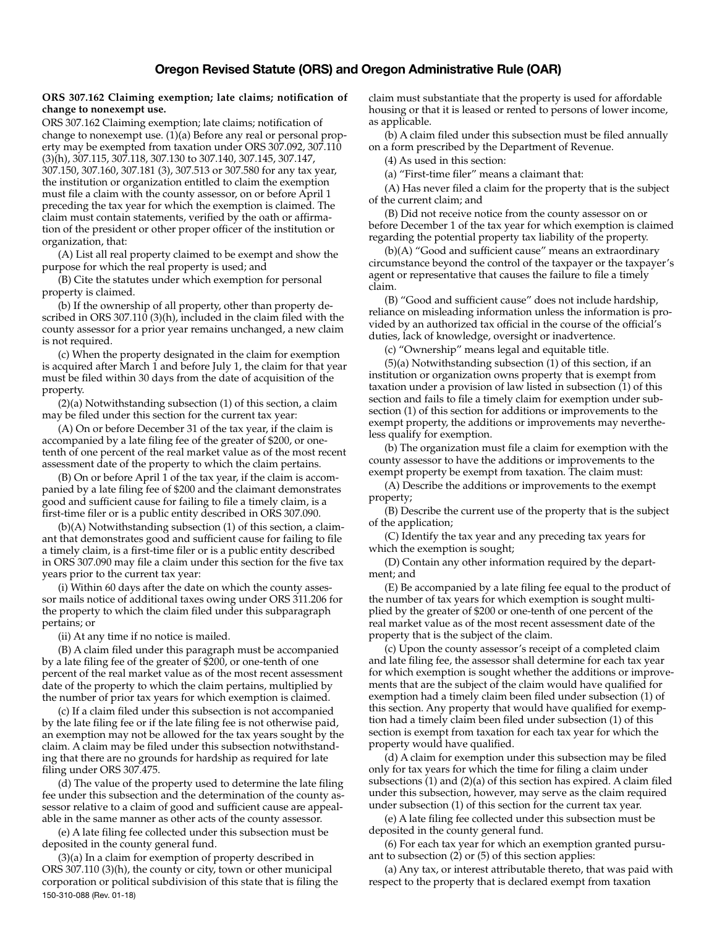#### **ORS 307.162 Claiming exemption; late claims; notification of change to nonexempt use.**

ORS 307.162 Claiming exemption; late claims; notification of change to nonexempt use. (1)(a) Before any real or personal property may be exempted from taxation under ORS 307.092, 307.110 (3)(h), 307.115, 307.118, 307.130 to 307.140, 307.145, 307.147, 307.150, 307.160, 307.181 (3), 307.513 or 307.580 for any tax year, the institution or organization entitled to claim the exemption must file a claim with the county assessor, on or before April 1 preceding the tax year for which the exemption is claimed. The claim must contain statements, verified by the oath or affirmation of the president or other proper officer of the institution or organization, that:

 (A) List all real property claimed to be exempt and show the purpose for which the real property is used; and

 (B) Cite the statutes under which exemption for personal property is claimed.

 (b) If the ownership of all property, other than property described in ORS 307.110 (3)(h), included in the claim filed with the county assessor for a prior year remains unchanged, a new claim is not required.

 (c) When the property designated in the claim for exemption is acquired after March 1 and before July 1, the claim for that year must be filed within 30 days from the date of acquisition of the property.

 (2)(a) Notwithstanding subsection (1) of this section, a claim may be filed under this section for the current tax year:

 (A) On or before December 31 of the tax year, if the claim is accompanied by a late filing fee of the greater of \$200, or onetenth of one percent of the real market value as of the most recent assessment date of the property to which the claim pertains.

 (B) On or before April 1 of the tax year, if the claim is accompanied by a late filing fee of \$200 and the claimant demonstrates good and sufficient cause for failing to file a timely claim, is a first-time filer or is a public entity described in ORS 307.090.

 (b)(A) Notwithstanding subsection (1) of this section, a claimant that demonstrates good and sufficient cause for failing to file a timely claim, is a first-time filer or is a public entity described in ORS 307.090 may file a claim under this section for the five tax years prior to the current tax year:

 (i) Within 60 days after the date on which the county assessor mails notice of additional taxes owing under ORS 311.206 for the property to which the claim filed under this subparagraph pertains; or

(ii) At any time if no notice is mailed.

 (B) A claim filed under this paragraph must be accompanied by a late filing fee of the greater of \$200, or one-tenth of one percent of the real market value as of the most recent assessment date of the property to which the claim pertains, multiplied by the number of prior tax years for which exemption is claimed.

 (c) If a claim filed under this subsection is not accompanied by the late filing fee or if the late filing fee is not otherwise paid, an exemption may not be allowed for the tax years sought by the claim. A claim may be filed under this subsection notwithstanding that there are no grounds for hardship as required for late filing under ORS 307.475.

 (d) The value of the property used to determine the late filing fee under this subsection and the determination of the county assessor relative to a claim of good and sufficient cause are appealable in the same manner as other acts of the county assessor.

 (e) A late filing fee collected under this subsection must be deposited in the county general fund.

150-310-088 (Rev. 01-18) (3)(a) In a claim for exemption of property described in ORS 307.110 (3)(h), the county or city, town or other municipal corporation or political subdivision of this state that is filing the claim must substantiate that the property is used for affordable housing or that it is leased or rented to persons of lower income, as applicable.

 (b) A claim filed under this subsection must be filed annually on a form prescribed by the Department of Revenue.

(4) As used in this section:

(a) "First-time filer" means a claimant that:

 (A) Has never filed a claim for the property that is the subject of the current claim; and

 (B) Did not receive notice from the county assessor on or before December 1 of the tax year for which exemption is claimed regarding the potential property tax liability of the property.

 (b)(A) "Good and sufficient cause" means an extraordinary circumstance beyond the control of the taxpayer or the taxpayer's agent or representative that causes the failure to file a timely claim.

 (B) "Good and sufficient cause" does not include hardship, reliance on misleading information unless the information is provided by an authorized tax official in the course of the official's duties, lack of knowledge, oversight or inadvertence.

(c) "Ownership" means legal and equitable title.

 (5)(a) Notwithstanding subsection (1) of this section, if an institution or organization owns property that is exempt from taxation under a provision of law listed in subsection (1) of this section and fails to file a timely claim for exemption under subsection (1) of this section for additions or improvements to the exempt property, the additions or improvements may nevertheless qualify for exemption.

 (b) The organization must file a claim for exemption with the county assessor to have the additions or improvements to the exempt property be exempt from taxation. The claim must:

 (A) Describe the additions or improvements to the exempt property;

 (B) Describe the current use of the property that is the subject of the application;

 (C) Identify the tax year and any preceding tax years for which the exemption is sought;

 (D) Contain any other information required by the department; and

 (E) Be accompanied by a late filing fee equal to the product of the number of tax years for which exemption is sought multiplied by the greater of \$200 or one-tenth of one percent of the real market value as of the most recent assessment date of the property that is the subject of the claim.

 (c) Upon the county assessor's receipt of a completed claim and late filing fee, the assessor shall determine for each tax year for which exemption is sought whether the additions or improvements that are the subject of the claim would have qualified for exemption had a timely claim been filed under subsection (1) of this section. Any property that would have qualified for exemption had a timely claim been filed under subsection (1) of this section is exempt from taxation for each tax year for which the property would have qualified.

 (d) A claim for exemption under this subsection may be filed only for tax years for which the time for filing a claim under subsections (1) and (2)(a) of this section has expired. A claim filed under this subsection, however, may serve as the claim required under subsection (1) of this section for the current tax year.

 (e) A late filing fee collected under this subsection must be deposited in the county general fund.

 (6) For each tax year for which an exemption granted pursuant to subsection (2) or (5) of this section applies:

 (a) Any tax, or interest attributable thereto, that was paid with respect to the property that is declared exempt from taxation